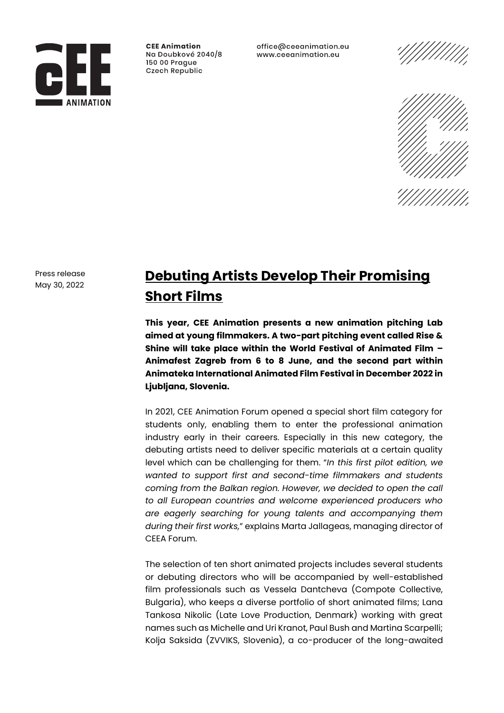

**CFF Animation** Na Doubkové 2040/8 150 00 Prague Czech Republic

office@ceeanimation.eu www.ceeanimation.eu





Press release May 30, 2022

# **Debuting Artists Develop Their Promising Short Films**

**This year, CEE Animation presents a new animation pitching Lab aimed at young filmmakers. A two-part pitching event called Rise & Shine will take place within the World Festival of Animated Film – Animafest Zagreb from 6 to 8 June, and the second part within Animateka International Animated Film Festival in December 2022 in Ljubljana, Slovenia.** 

In 2021, CEE Animation Forum opened a special short film category for students only, enabling them to enter the professional animation industry early in their careers. Especially in this new category, the debuting artists need to deliver specific materials at a certain quality level which can be challenging for them. "*In this first pilot edition, we wanted to support first and second-time filmmakers and students coming from the Balkan region. However, we decided to open the call to all European countries and welcome experienced producers who are eagerly searching for young talents and accompanying them during their first works,*" explains Marta Jallageas, managing director of CEEA Forum.

The selection of ten short animated projects includes several students or debuting directors who will be accompanied by well-established film professionals such as Vessela Dantcheva (Compote Collective, Bulgaria), who keeps a diverse portfolio of short animated films; Lana Tankosa Nikolic (Late Love Production, Denmark) working with great names such as Michelle and Uri Kranot, Paul Bush and Martina Scarpelli; Kolja Saksida (ZVVIKS, Slovenia), a co-producer of the long-awaited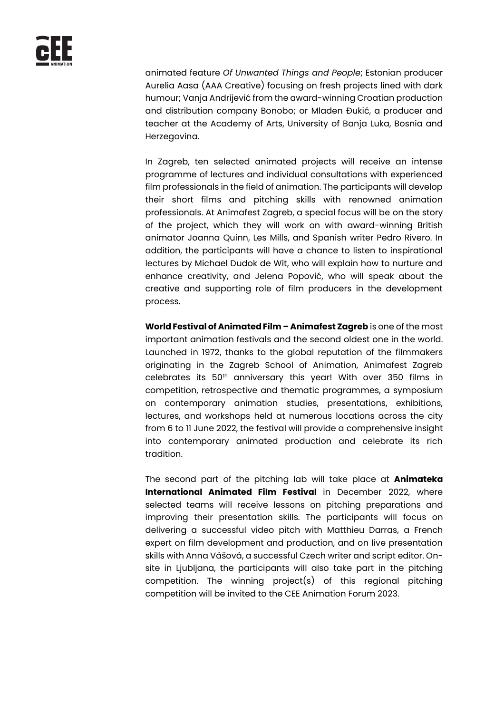animated feature *Of Unwanted Things and People*; Estonian producer Aurelia Aasa (AAA Creative) focusing on fresh projects lined with dark humour; Vanja Andrijević from the award-winning Croatian production and distribution company Bonobo; or Mladen Đukić, a producer and teacher at the Academy of Arts, University of Banja Luka, Bosnia and Herzegovina.

In Zagreb, ten selected animated projects will receive an intense programme of lectures and individual consultations with experienced film professionals in the field of animation. The participants will develop their short films and pitching skills with renowned animation professionals. At Animafest Zagreb, a special focus will be on the story of the project, which they will work on with award-winning British animator Joanna Quinn, Les Mills, and Spanish writer Pedro Rivero. In addition, the participants will have a chance to listen to inspirational lectures by Michael Dudok de Wit, who will explain how to nurture and enhance creativity, and Jelena Popović, who will speak about the creative and supporting role of film producers in the development process.

**World Festival of Animated Film – Animafest Zagreb** is one of the most important animation festivals and the second oldest one in the world. Launched in 1972, thanks to the global reputation of the filmmakers originating in the Zagreb School of Animation, Animafest Zagreb celebrates its 50th anniversary this year! With over 350 films in competition, retrospective and thematic programmes, a symposium on contemporary animation studies, presentations, exhibitions, lectures, and workshops held at numerous locations across the city from 6 to 11 June 2022, the festival will provide a comprehensive insight into contemporary animated production and celebrate its rich tradition.

The second part of the pitching lab will take place at **Animateka International Animated Film Festival** in December 2022, where selected teams will receive lessons on pitching preparations and improving their presentation skills. The participants will focus on delivering a successful video pitch with Matthieu Darras, a French expert on film development and production, and on live presentation skills with Anna Vášová, a successful Czech writer and script editor. Onsite in Ljubljana, the participants will also take part in the pitching competition. The winning project(s) of this regional pitching competition will be invited to the CEE Animation Forum 2023.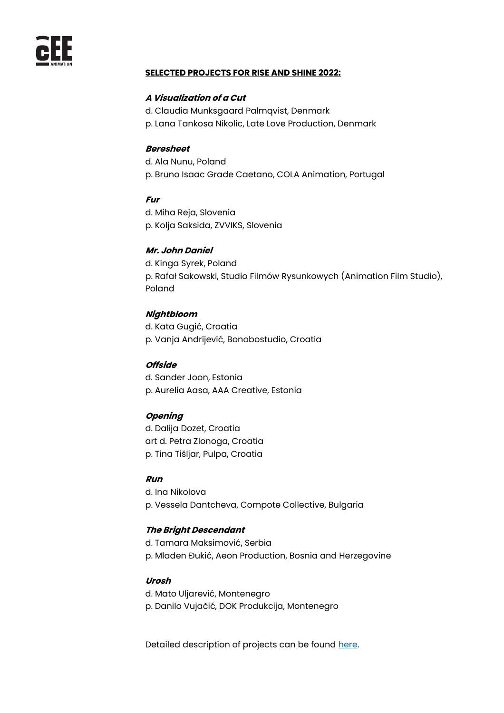

## **SELECTED PROJECTS FOR RISE AND SHINE 2022:**

### **A Visualization of a Cut**

- d. Claudia Munksgaard Palmqvist, Denmark
- p. Lana Tankosa Nikolic, Late Love Production, Denmark

#### **Beresheet**

d. Ala Nunu, Poland p. Bruno Isaac Grade Caetano, COLA Animation, Portugal

#### **Fur**

d. Miha Reja, Slovenia p. Kolja Saksida, ZVVIKS, Slovenia

# **Mr. John Daniel**

d. Kinga Syrek, Poland p. Rafał Sakowski, Studio Filmów Rysunkowych (Animation Film Studio), Poland

#### **Nightbloom**

d. Kata Gugić, Croatia p. Vanja Andrijević, Bonobostudio, Croatia

## **Offside**

d. Sander Joon, Estonia p. Aurelia Aasa, AAA Creative, Estonia

## **Opening**

d. Dalija Dozet, Croatia art d. Petra Zlonoga, Croatia p. Tina Tišljar, Pulpa, Croatia

## **Run**

d. Ina Nikolova p. Vessela Dantcheva, Compote Collective, Bulgaria

#### **The Bright Descendant**

d. Tamara Maksimović, Serbia p. Mladen Đukić, Aeon Production, Bosnia and Herzegovine

## **Urosh**

d. Mato Uljarević, Montenegro p. Danilo Vujačić, DOK Produkcija, Montenegro

Detailed description of projects can be found [here.](https://ceeanimation.eu/rise-and-shine/2022-rise-and-shine/selected-projects)